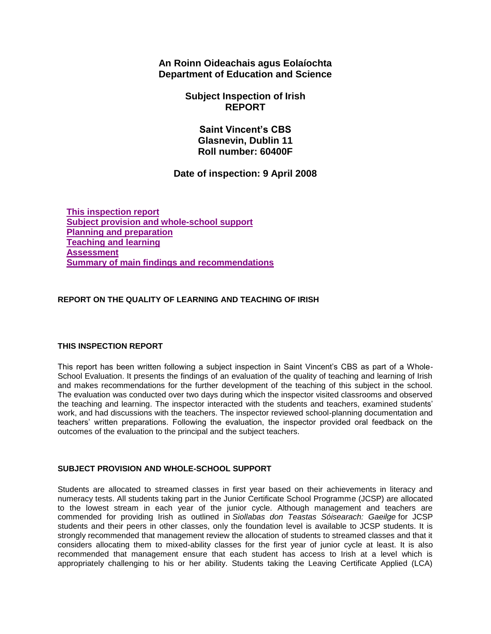**An Roinn Oideachais agus Eolaíochta Department of Education and Science**

> **Subject Inspection of Irish REPORT**

> > **Saint Vincent's CBS Glasnevin, Dublin 11 Roll number: 60400F**

# **Date of inspection: 9 April 2008**

**[This inspection report](http://www.education.ie/en/Publications/Inspection-Reports-Publications/Subject-Inspection-Reports-List/report3_t__60400F.htm#_Toc214182338) [Subject provision and whole-school support](http://www.education.ie/en/Publications/Inspection-Reports-Publications/Subject-Inspection-Reports-List/report3_t__60400F.htm#_Toc214182339) [Planning and preparation](http://www.education.ie/en/Publications/Inspection-Reports-Publications/Subject-Inspection-Reports-List/report3_t__60400F.htm#_Toc214182340) [Teaching and learning](http://www.education.ie/en/Publications/Inspection-Reports-Publications/Subject-Inspection-Reports-List/report3_t__60400F.htm#_Toc214182341) [Assessment](http://www.education.ie/en/Publications/Inspection-Reports-Publications/Subject-Inspection-Reports-List/report3_t__60400F.htm#_Toc214182342) [Summary of main findings and recommendations](http://www.education.ie/en/Publications/Inspection-Reports-Publications/Subject-Inspection-Reports-List/report3_t__60400F.htm#_Toc214182343)**

## **REPORT ON THE QUALITY OF LEARNING AND TEACHING OF IRISH**

#### **THIS INSPECTION REPORT**

This report has been written following a subject inspection in Saint Vincent's CBS as part of a Whole-School Evaluation. It presents the findings of an evaluation of the quality of teaching and learning of Irish and makes recommendations for the further development of the teaching of this subject in the school. The evaluation was conducted over two days during which the inspector visited classrooms and observed the teaching and learning. The inspector interacted with the students and teachers, examined students' work, and had discussions with the teachers. The inspector reviewed school-planning documentation and teachers' written preparations. Following the evaluation, the inspector provided oral feedback on the outcomes of the evaluation to the principal and the subject teachers.

## **SUBJECT PROVISION AND WHOLE-SCHOOL SUPPORT**

Students are allocated to streamed classes in first year based on their achievements in literacy and numeracy tests. All students taking part in the Junior Certificate School Programme (JCSP) are allocated to the lowest stream in each year of the junior cycle. Although management and teachers are commended for providing Irish as outlined in *Siollabas don Teastas Sóisearach: Gaeilge* for JCSP students and their peers in other classes, only the foundation level is available to JCSP students. It is strongly recommended that management review the allocation of students to streamed classes and that it considers allocating them to mixed-ability classes for the first year of junior cycle at least. It is also recommended that management ensure that each student has access to Irish at a level which is appropriately challenging to his or her ability. Students taking the Leaving Certificate Applied (LCA)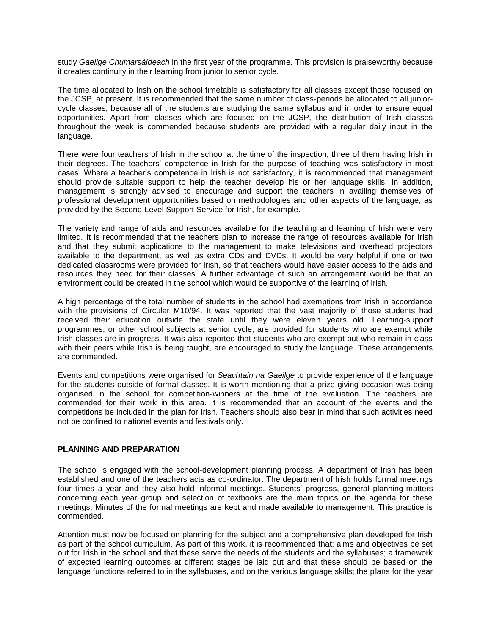study *Gaeilge Chumarsáideach* in the first year of the programme. This provision is praiseworthy because it creates continuity in their learning from junior to senior cycle.

The time allocated to Irish on the school timetable is satisfactory for all classes except those focused on the JCSP, at present. It is recommended that the same number of class-periods be allocated to all juniorcycle classes, because all of the students are studying the same syllabus and in order to ensure equal opportunities. Apart from classes which are focused on the JCSP, the distribution of Irish classes throughout the week is commended because students are provided with a regular daily input in the language.

There were four teachers of Irish in the school at the time of the inspection, three of them having Irish in their degrees. The teachers' competence in Irish for the purpose of teaching was satisfactory in most cases. Where a teacher's competence in Irish is not satisfactory, it is recommended that management should provide suitable support to help the teacher develop his or her language skills. In addition, management is strongly advised to encourage and support the teachers in availing themselves of professional development opportunities based on methodologies and other aspects of the language, as provided by the Second-Level Support Service for Irish, for example.

The variety and range of aids and resources available for the teaching and learning of Irish were very limited. It is recommended that the teachers plan to increase the range of resources available for Irish and that they submit applications to the management to make televisions and overhead projectors available to the department, as well as extra CDs and DVDs. It would be very helpful if one or two dedicated classrooms were provided for Irish, so that teachers would have easier access to the aids and resources they need for their classes. A further advantage of such an arrangement would be that an environment could be created in the school which would be supportive of the learning of Irish.

A high percentage of the total number of students in the school had exemptions from Irish in accordance with the provisions of Circular M10/94. It was reported that the vast majority of those students had received their education outside the state until they were eleven years old. Learning-support programmes, or other school subjects at senior cycle, are provided for students who are exempt while Irish classes are in progress. It was also reported that students who are exempt but who remain in class with their peers while Irish is being taught, are encouraged to study the language. These arrangements are commended.

Events and competitions were organised for *Seachtain na Gaeilge* to provide experience of the language for the students outside of formal classes. It is worth mentioning that a prize-giving occasion was being organised in the school for competition-winners at the time of the evaluation. The teachers are commended for their work in this area. It is recommended that an account of the events and the competitions be included in the plan for Irish. Teachers should also bear in mind that such activities need not be confined to national events and festivals only.

### **PLANNING AND PREPARATION**

The school is engaged with the school-development planning process. A department of Irish has been established and one of the teachers acts as co-ordinator. The department of Irish holds formal meetings four times a year and they also hold informal meetings. Students' progress, general planning-matters concerning each year group and selection of textbooks are the main topics on the agenda for these meetings. Minutes of the formal meetings are kept and made available to management. This practice is commended.

Attention must now be focused on planning for the subject and a comprehensive plan developed for Irish as part of the school curriculum. As part of this work, it is recommended that: aims and objectives be set out for Irish in the school and that these serve the needs of the students and the syllabuses; a framework of expected learning outcomes at different stages be laid out and that these should be based on the language functions referred to in the syllabuses, and on the various language skills; the plans for the year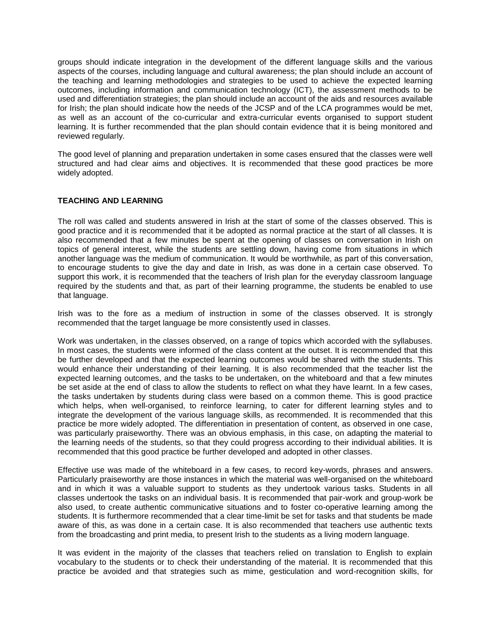groups should indicate integration in the development of the different language skills and the various aspects of the courses, including language and cultural awareness; the plan should include an account of the teaching and learning methodologies and strategies to be used to achieve the expected learning outcomes, including information and communication technology (ICT), the assessment methods to be used and differentiation strategies; the plan should include an account of the aids and resources available for Irish; the plan should indicate how the needs of the JCSP and of the LCA programmes would be met, as well as an account of the co-curricular and extra-curricular events organised to support student learning. It is further recommended that the plan should contain evidence that it is being monitored and reviewed regularly.

The good level of planning and preparation undertaken in some cases ensured that the classes were well structured and had clear aims and objectives. It is recommended that these good practices be more widely adopted.

### **TEACHING AND LEARNING**

The roll was called and students answered in Irish at the start of some of the classes observed. This is good practice and it is recommended that it be adopted as normal practice at the start of all classes. It is also recommended that a few minutes be spent at the opening of classes on conversation in Irish on topics of general interest, while the students are settling down, having come from situations in which another language was the medium of communication. It would be worthwhile, as part of this conversation, to encourage students to give the day and date in Irish, as was done in a certain case observed. To support this work, it is recommended that the teachers of Irish plan for the everyday classroom language required by the students and that, as part of their learning programme, the students be enabled to use that language.

Irish was to the fore as a medium of instruction in some of the classes observed. It is strongly recommended that the target language be more consistently used in classes.

Work was undertaken, in the classes observed, on a range of topics which accorded with the syllabuses. In most cases, the students were informed of the class content at the outset. It is recommended that this be further developed and that the expected learning outcomes would be shared with the students. This would enhance their understanding of their learning. It is also recommended that the teacher list the expected learning outcomes, and the tasks to be undertaken, on the whiteboard and that a few minutes be set aside at the end of class to allow the students to reflect on what they have learnt. In a few cases, the tasks undertaken by students during class were based on a common theme. This is good practice which helps, when well-organised, to reinforce learning, to cater for different learning styles and to integrate the development of the various language skills, as recommended. It is recommended that this practice be more widely adopted. The differentiation in presentation of content, as observed in one case, was particularly praiseworthy. There was an obvious emphasis, in this case, on adapting the material to the learning needs of the students, so that they could progress according to their individual abilities. It is recommended that this good practice be further developed and adopted in other classes.

Effective use was made of the whiteboard in a few cases, to record key-words, phrases and answers. Particularly praiseworthy are those instances in which the material was well-organised on the whiteboard and in which it was a valuable support to students as they undertook various tasks. Students in all classes undertook the tasks on an individual basis. It is recommended that pair-work and group-work be also used, to create authentic communicative situations and to foster co-operative learning among the students. It is furthermore recommended that a clear time-limit be set for tasks and that students be made aware of this, as was done in a certain case. It is also recommended that teachers use authentic texts from the broadcasting and print media, to present Irish to the students as a living modern language.

It was evident in the majority of the classes that teachers relied on translation to English to explain vocabulary to the students or to check their understanding of the material. It is recommended that this practice be avoided and that strategies such as mime, gesticulation and word-recognition skills, for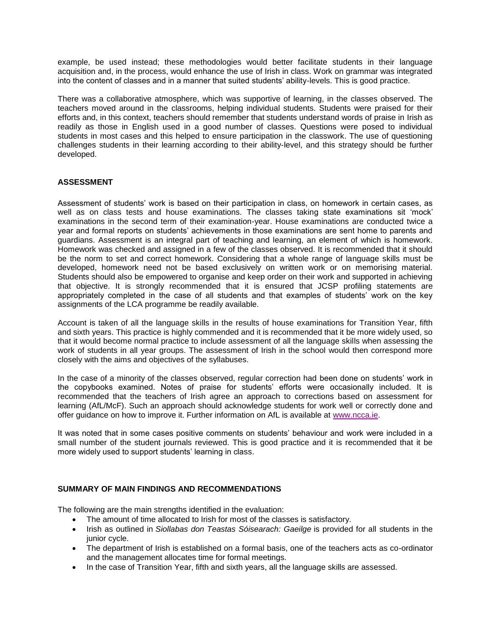example, be used instead; these methodologies would better facilitate students in their language acquisition and, in the process, would enhance the use of Irish in class. Work on grammar was integrated into the content of classes and in a manner that suited students' ability-levels. This is good practice.

There was a collaborative atmosphere, which was supportive of learning, in the classes observed. The teachers moved around in the classrooms, helping individual students. Students were praised for their efforts and, in this context, teachers should remember that students understand words of praise in Irish as readily as those in English used in a good number of classes. Questions were posed to individual students in most cases and this helped to ensure participation in the classwork. The use of questioning challenges students in their learning according to their ability-level, and this strategy should be further developed.

## **ASSESSMENT**

Assessment of students' work is based on their participation in class, on homework in certain cases, as well as on class tests and house examinations. The classes taking state examinations sit 'mock' examinations in the second term of their examination-year. House examinations are conducted twice a year and formal reports on students' achievements in those examinations are sent home to parents and guardians. Assessment is an integral part of teaching and learning, an element of which is homework. Homework was checked and assigned in a few of the classes observed. It is recommended that it should be the norm to set and correct homework. Considering that a whole range of language skills must be developed, homework need not be based exclusively on written work or on memorising material. Students should also be empowered to organise and keep order on their work and supported in achieving that objective. It is strongly recommended that it is ensured that JCSP profiling statements are appropriately completed in the case of all students and that examples of students' work on the key assignments of the LCA programme be readily available.

Account is taken of all the language skills in the results of house examinations for Transition Year, fifth and sixth years. This practice is highly commended and it is recommended that it be more widely used, so that it would become normal practice to include assessment of all the language skills when assessing the work of students in all year groups. The assessment of Irish in the school would then correspond more closely with the aims and objectives of the syllabuses.

In the case of a minority of the classes observed, regular correction had been done on students' work in the copybooks examined. Notes of praise for students' efforts were occasionally included. It is recommended that the teachers of Irish agree an approach to corrections based on assessment for learning (AfL/McF). Such an approach should acknowledge students for work well or correctly done and offer guidance on how to improve it. Further information on AfL is available at [www.ncca.ie.](http://www.ncca.ie/)

It was noted that in some cases positive comments on students' behaviour and work were included in a small number of the student journals reviewed. This is good practice and it is recommended that it be more widely used to support students' learning in class.

## **SUMMARY OF MAIN FINDINGS AND RECOMMENDATIONS**

The following are the main strengths identified in the evaluation:

- The amount of time allocated to Irish for most of the classes is satisfactory.
- Irish as outlined in *Siollabas don Teastas Sóisearach: Gaeilge* is provided for all students in the junior cycle.
- The department of Irish is established on a formal basis, one of the teachers acts as co-ordinator and the management allocates time for formal meetings.
- In the case of Transition Year, fifth and sixth years, all the language skills are assessed.